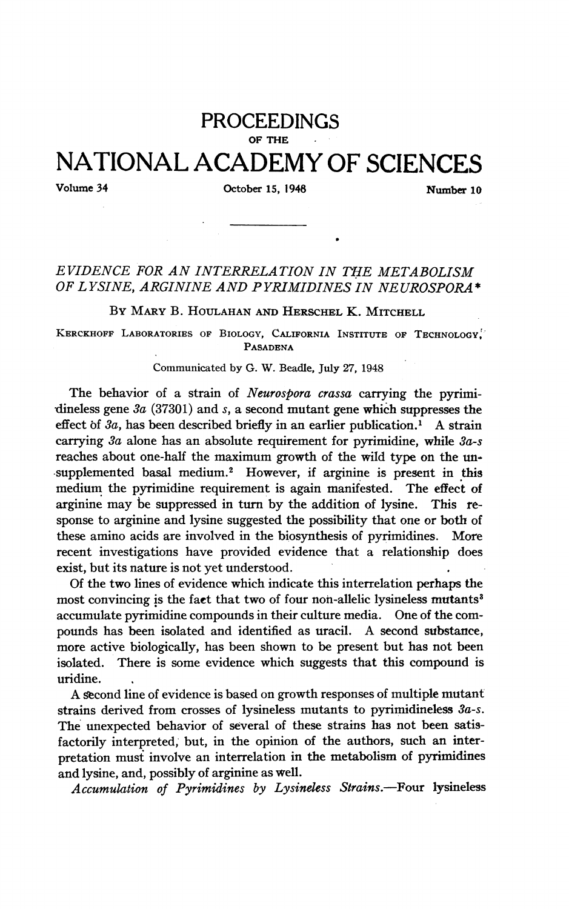# PROCEEDINGS OF THE NATIONAL ACADEMY OF SCIENCES

## Volume 34 October 15, 1948 Number 10

## EVIDENCE FOR AN INTERRELATION IN THE METABOLISM OF L YSINE, ARGININE AND PYRIMIDINES IN NEUROSPORA \*

BY MARY B. HOULAHAN AND HERSCHEL K. MITCHELL

KERCKHOFF LABORATORIES OF BIOLOGY, CALIFORNIA INSTITUTE OF TECHNOLOGY. PASADENA

#### Communicated by G. W. Beadle, July 27, 1948

The behavior of a strain of Neurospora crassa carrying the pyrimidineless gene  $3a$  (37301) and s, a second mutant gene which suppresses the effect of  $3a$ , has been described briefly in an earlier publication.<sup>1</sup> A strain carrying 3a alone has an absolute requirement for pyrimidine, while 3a-s reaches about one-half the maximum growth of the wild type on the un- -supplemented basal medium.2 However, if arginine is present in this medium the pyrimidine requirement is again manifested. The effect of arginine may be suppressed in turn by the addition of lysine. This response to arginine and lysine suggested the possibility that one or both of these amino acids are involved in the biosynthesis of pyrimidines. More recent investigations have provided evidence that a relationship does exist, but its nature is not yet understood.

Of the two lines of evidence which indicate this interrelation perhaps the most convincing is the fact that two of four non-allelic lysineless mutants<sup>3</sup> accumulate pyrimidine compounds in their culture media. One of the compounds has been isolated and identified as uracil. A second substance, more active biologically, has been shown to be present but has not been isolated. There is some evidence which suggests that this compound is uridine.

A second line of evidence is based on growth responses of multiple mutant strains derived from crosses of lysineless mutants to pyrimidineless 3a-s. The unexpected behavior of several of these strains has not been satisfactorily interpreted, but, in the opinion of the authors, such an interpretation must involve an interrelation in the metabolism of pyrimidines and lysine, and, possibly of arginine as well.

Accumulation of Pyrimidines by Lysineless Strains.-Four lysineless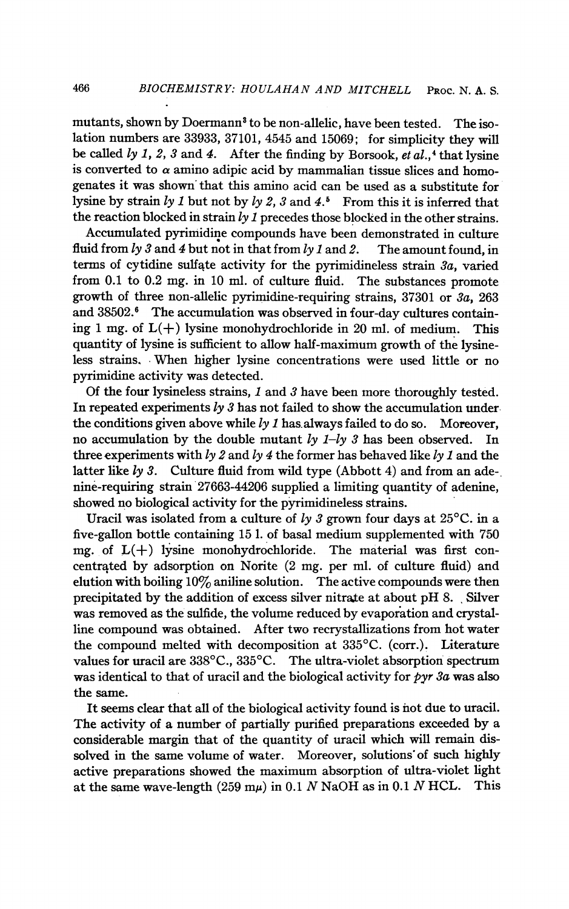mutants, shown by Doermann<sup>3</sup> to be non-allelic, have been tested. The isolation numbers are 33933, 37101, 4545 and 15069; for simplicity they will be called  $ly$  1, 2, 3 and 4. After the finding by Borsook, et al.,<sup>4</sup> that lysine is converted to  $\alpha$  amino adipic acid by mammalian tissue slices and homogenates it was shown' that this amino acid can be used as a substitute for lysine by strain ly 1 but not by ly 2, 3 and 4.<sup>5</sup> From this it is inferred that the reaction blocked in strain  $ly 1$  precedes those blocked in the other strains.

Accumulated pyrimidine compounds have been demonstrated in culture fluid from  $\frac{1}{3}$  and 4 but not in that from  $\frac{1}{3}$  and 2. The amount found, in terms of cytidine sulfate activity for the pyrimidineless strain 3a, varied from 0.1 to 0.2 mg. in 10 ml. of culture fluid. The substances promote growth of three non-allelic pyrimidine-requiring strains, 37301 or 3a, 263 and 38502.6 The accumulation was observed in four-day cultures containing 1 mg. of  $L(+)$  lysine monohydrochloride in 20 ml. of medium. This quantity of lysine is sufficient to allow half-maximum growth of the lysineless strains. When higher lysine concentrations were used little or no pyrimidine activity was detected.

Of the four lysineless strains, 1 and 3 have been more thoroughly tested. In repeated experiments  $ly 3$  has not failed to show the accumulation underthe conditions given above while  $ly 1$  has always failed to do so. Moreover, no accumulation by the double mutant  $ly$   $1-ly$  3 has been observed. three experiments with  $ly 2$  and  $ly 4$  the former has behaved like  $ly 1$  and the latter like  $ly 3$ . Culture fluid from wild type (Abbott 4) and from an adenine-requiring strain '27663-44206 supplied a limiting quantity of adenine, showed no biological activity for the pyrimidineless strains.

Uracil was isolated from a culture of  $\frac{1}{3}$  grown four days at 25<sup>o</sup>C. in a five-gallon bottle containing 15 1. of basal medium supplemented with 750 mg. of  $L(+)$  lysine monohydrochloride. The material was first concentrated by adsorption on Norite (2 mg. per ml. of culture fluid) and elution with boiling  $10\%$  aniline solution. The active compounds were then precipitated by the addition of excess silver nitrate at about pH 8. Silver was removed as the sulfide, the volume reduced by evaporation and crystalline compound was obtained. After two recrystallizations from hot water the compound melted with decomposition at 335°C. (corr.). Literature values for uracil are 338°C., 335°C. The ultra-violet absorption spectrum was identical to that of uracil and the biological activity for  $pyr$  3a was also the same.

It seems clear that all of the biological activity found is not due to uracil. The activity of a number of partially purified preparations exceeded by a considerable margin that of the quantity of uracil which will remain dissolved in the same volume of water. Moreover, solutions of such highly active preparations showed the maximum absorption of ultra-violet light<br>at the same wave-length  $(259 \text{ mu})$  in 0.1 N NaOH as in 0.1 N HCL. This at the same wave-length (259 m $\mu$ ) in 0.1 N NaOH as in 0.1 N HCL.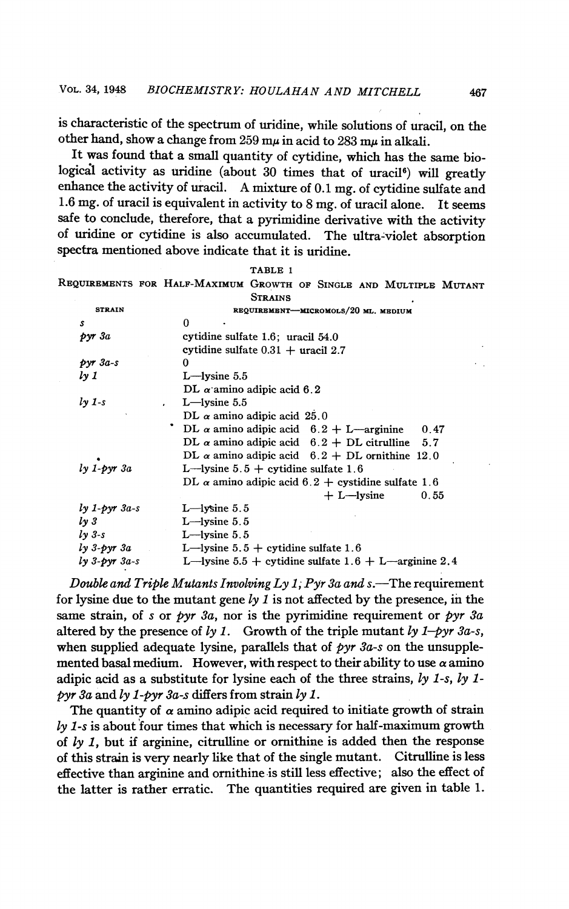is characteristic of the spectrum of uridine, while solutions of uracil, on the other hand, show a change from 259 m $\mu$  in acid to 283 m $\mu$  in alkali.

It was found that a small quantity of cytidine, which has the same biological activity as uridine (about 30 times that of uracil<sup>6</sup>) will greatly enhance the activity of uracil. A mixture of 0.1 mg. of cytidine sulfate and 1.6 mg. of uracil is equivalent in activity to 8 mg. of uracil alone. It seems safe to conclude, therefore, that a pyrimidine derivative with the activity of uridine or cytidine is also accumulated. The ultra-violet absorption spectra mentioned above indicate that it is uridine.

|                     | TABLE 1                                                            |
|---------------------|--------------------------------------------------------------------|
|                     | REQUIREMENTS FOR HALF-MAXIMUM GROWTH OF SINGLE AND MULTIPLE MUTANT |
|                     | <b>STRAINS</b>                                                     |
| <b>STRAIN</b>       | REQUIREMENT-MICROMOLS/20 ML. MEDIUM                                |
| s                   | 0                                                                  |
| pyr3a               | cytidine sulfate 1.6; uracil 54.0                                  |
|                     | cytidine sulfate $0.31 +$ uracil 2.7                               |
| $pyr$ $3a-s$        | O                                                                  |
| ly 1                | $L$ —lysine $5.5$                                                  |
|                     | DL $\alpha$ amino adipic acid 6.2                                  |
| $ly$ 1-s            | $L$ -lysine 5.5                                                    |
|                     | DL $\alpha$ amino adipic acid 25.0                                 |
|                     | DL $\alpha$ amino adipic acid 6.2 + L—arginine<br>0.47             |
|                     | DL $\alpha$ amino adipic acid $6.2 +$ DL citrulline 5.7            |
|                     | DL $\alpha$ amino adipic acid $6.2 +$ DL ornithine 12.0            |
| $ly 1$ -pyr $3a$    | L—lysine $5.5 +$ cytidine sulfate 1.6                              |
|                     | DL $\alpha$ amino adipic acid 6.2 + cystidine sulfate 1.6          |
|                     | $+ L$ -lysine<br>0.55                                              |
| $ly 1$ - $pyr 3a-s$ | $L$ -lysine 5.5                                                    |
| $\sqrt{1}$          | $L$ -lysine 5.5                                                    |
| $ly$ 3-s            | $L$ -lysine 5.5                                                    |
| $ly 3-pyr 3a$       | L—lysine $5.5 +$ cytidine sulfate 1.6                              |
| $ly$ 3- $pyr$ 3a-s  | L—lysine $5.5 +$ cytidine sulfate $1.6 +$ L—arginine 2.4           |
|                     |                                                                    |

Double and Triple Mutants Involving Ly 1; Pyr 3a and s.—The requirement for lysine due to the mutant gene  $ly$   $1$  is not affected by the presence, in the same strain, of s or pyr 3a, nor is the pyrimidine requirement or pyr 3a altered by the presence of ly 1. Growth of the triple mutant ly 1-pyr 3a-s, when supplied adequate lysine, parallels that of  $pyr$  3a-s on the unsupplemented basal medium. However, with respect to their ability to use  $\alpha$  amino adipic acid as a substitute for lysine each of the three strains,  $ly$  1-s,  $ly$  1pyr 3a and  $ly$  1-pyr 3a-s differs from strain  $ly$  1.

The quantity of  $\alpha$  amino adipic acid required to initiate growth of strain  $\lambda y$  1-s is about four times that which is necessary for half-maximum growth of  $ly$  1, but if arginine, citrulline or ornithine is added then the response<br>of this strain is very nearly like that of the single mutant. Citrulline is less of this strain is very nearly like that of the single mutant. effective than arginine and ornithine is still less effective; also the effect of the latter is rather erratic. The quantities required are given in table 1.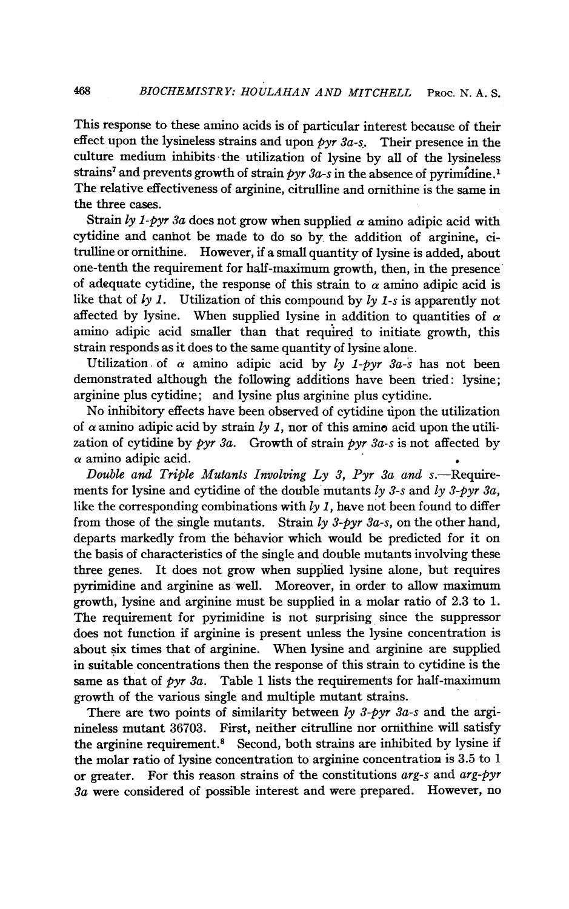This response to these amino acids is of particular interest because of their effect upon the lysineless strains and upon  $pyr$  3a-s. Their presence in the culture medium inhibits the utilization of lysine by all of the lysineless strains<sup>7</sup> and prevents growth of strain  $pyr$  3a-s in the absence of pyrimidine.<sup>1</sup> The relative effectiveness of arginine, citrulline and ornithine is the same in the three cases.

Strain ly 1-pyr 3a does not grow when supplied  $\alpha$  amino adipic acid with cytidine and canhot be made to do so by, the addition of arginine, citrulline or ornithine. However, if a small quantity of lysine is added, about one-tenth the requirement for half-maximum growth, then, in the presence of adequate cytidine, the response of this strain to  $\alpha$  amino adipic acid is like that of  $\frac{1}{y}$  1. Utilization of this compound by  $\frac{1}{y}$  1-s is apparently not affected by lysine. When supplied lysine in addition to quantities of  $\alpha$ amino adipic acid smaller than that required to initiate growth, this strain responds as it does to the same quantity of lysine alone.

Utilization of  $\alpha$  amino adipic acid by ly 1-pyr 3a-s has not been demonstrated although the following additions have been tried: lysine; arginine plus cytidine; and lysine plus arginine plus cytidine.

No inhibitory effects have been observed of cytidine upon the utilization of  $\alpha$  amino adipic acid by strain ly 1, nor of this amino acid upon the utilization of cytidine by  $pyr 3a$ . Growth of strain  $pyr 3a$ -s is not affected by  $\alpha$  amino adipic acid.

Double and Triple Mutants Involving Ly 3, Pyr 3a and  $s$ . Requirements for lysine and cytidine of the double mutants  $\ell y$  3-s and  $\ell y$  3-pyr 3a, like the corresponding combinations with  $ly$  1, have not been found to differ from those of the single mutants. Strain  $ly\,3\text{-}pyr\,3a\text{-}s$ , on the other hand, departs markedly from the behavior which would be predicted for it on the basis of characteristics of the single and double mutants involving these three genes. It does not grow when supplied lysine alone, but requires pyrimidine and arginine as well. Moreover, in order to allow maximum growth, lysine and arginine must be supplied in a molar ratio of 2.3 to 1. The requirement for pyrimidine is not surprising since the suppressor does not function if arginine is present unless the lysine concentration is about six times that of arginine. When lysine and arginine are supplied in suitable concentrations then the response of this strain to cytidine is the same as that of  $pyr$  3a. Table 1 lists the requirements for half-maximum growth of the various single and multiple mutant strains.

There are two points of similarity between  $\ell y$  3-pyr 3a-s and the arginineless mutant 36703. First, neither citrulline nor ornithine will satisfy the arginine requirement.<sup>8</sup> Second, both strains are inhibited by lysine if the molar ratio of lysine concentration to arginine concentration is 3.5 to <sup>1</sup> or greater. For this reason strains of the constitutions arg-s and arg-pyr 3a were considered of possible interest and were prepared. However, no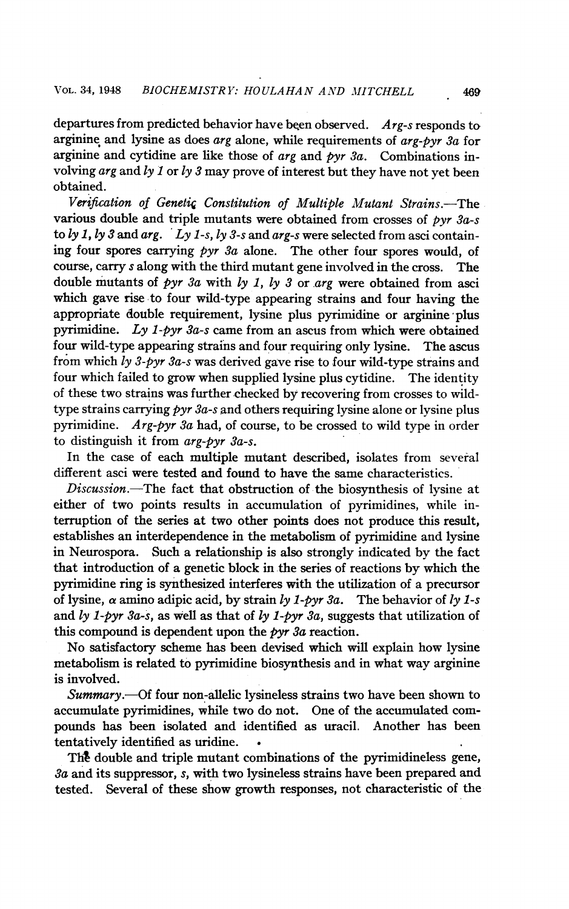departures from predicted behavior have been observed.  $Arg$ -s responds to arginine and lysine as does  $arg$  alone, while requirements of  $arg-pyr$   $3a$  for arginine and cytidine are like those of arg and pyr 3a. Combinations involving  $\arg \arg \inf \{y \}$  or  $\log 3$  may prove of interest but they have not yet been obtained.

Verification of Genetic Constitution of Multiple Mutant Strains.-The various double and triple mutants were obtained from crosses of  $pyr$   $3a-s$ to ly 1, ly 3 and arg. Ly 1-s, ly 3-s and arg-s were selected from asci containing four spores carrying  $pyr$  3a alone. The other four spores would, of course, carry <sup>s</sup> along with the third mutant gene involved in the cross. The double mutants of pyr 3a with ly 1, ly 3 or arg were obtained from asci which gave rise to four wild-type appearing strains and four having the appropriate double requirement, lysine plus pyrimidine or arginine plus pyrimidine. Ly 1-pyr 3a-s came from an ascus from which were obtained four wild-type appearing strains and four requiring only lysine. The ascus from which ly 3-pyr 3a-s was derived gave rise to four wild-type strains and four which failed to grow when supplied lysine plus cytidine. The identity of these two strains was further checked by recovering from crosses to wildtype strains carrying  $pyr 3a-s$  and others requiring lysine alone or lysine plus pyrimidine. Arg-pyr 3a had, of course, to be crossed to wild type in order to distinguish it from arg-pyr 3a-s.

In the case of each multiple mutant described, isolates from several different asci were tested and found to have the same characteristics.

 $Discussion$ . The fact that obstruction of the biosynthesis of lysine at either of two points results in accumulation of pyrimidines, while interruption of the series at two other points does not produce this result, establishes an interdependence in the metabolism of pyrimidine and lysine in Neurospora. Such a relationship is also strongly indicated by the fact that introduction of a genetic block in the series of reactions by which the pyrimidine ring is synthesized interferes with the utilization of a precursor of lysine,  $\alpha$  amino adipic acid, by strain ly 1-pyr 3a. The behavior of ly 1-s and ly 1-pyr 3a-s, as well as that of ly 1-pyr 3a, suggests that utilization of this compound is dependent upon the  $pyr$  3a reaction.

No satisfactory scheme has been devised which will explain how lysine metabolism is related to pyrimidine biosynthesis and in what way arginine is involved.

Summary.—Of four non-allelic lysineless strains two have been shown to accumulate pyrimidines, while two do not. One of the accumulated compounds has been isolated and identified as uracil. Another has been tentatively identified as uridine.

The double and triple mutant combinations of the pyrimidineless gene, 3a and its suppressor, s, with two lysineless strains have been prepared and tested. Several of these show growth responses, not characteristic of the